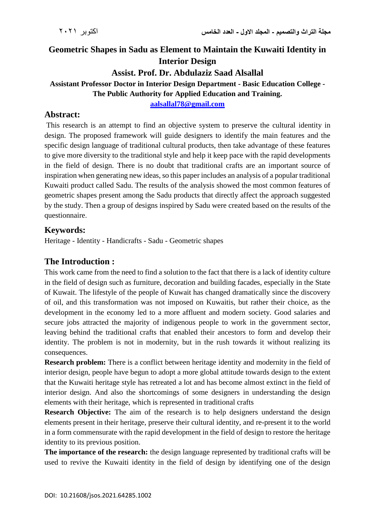## **Geometric Shapes in Sadu as Element to Maintain the Kuwaiti Identity in Interior Design Assist. Prof. Dr. Abdulaziz Saad Alsallal**

# **Assistant Professor Doctor in Interior Design Department - Basic Education College -**

**The Public Authority for Applied Education and Training.**

**[aalsallal78@gmail.com](mailto:aalsallal78@gmail.com)**

#### **Abstract:**

This research is an attempt to find an objective system to preserve the cultural identity in design. The proposed framework will guide designers to identify the main features and the specific design language of traditional cultural products, then take advantage of these features to give more diversity to the traditional style and help it keep pace with the rapid developments in the field of design. There is no doubt that traditional crafts are an important source of inspiration when generating new ideas, so this paper includes an analysis of a popular traditional Kuwaiti product called Sadu. The results of the analysis showed the most common features of geometric shapes present among the Sadu products that directly affect the approach suggested by the study. Then a group of designs inspired by Sadu were created based on the results of the questionnaire.

#### **Keywords:**

Heritage - Identity - Handicrafts - Sadu - Geometric shapes

#### **The Introduction :**

This work came from the need to find a solution to the fact that there is a lack of identity culture in the field of design such as furniture, decoration and building facades, especially in the State of Kuwait. The lifestyle of the people of Kuwait has changed dramatically since the discovery of oil, and this transformation was not imposed on Kuwaitis, but rather their choice, as the development in the economy led to a more affluent and modern society. Good salaries and secure jobs attracted the majority of indigenous people to work in the government sector, leaving behind the traditional crafts that enabled their ancestors to form and develop their identity. The problem is not in modernity, but in the rush towards it without realizing its consequences.

**Research problem:** There is a conflict between heritage identity and modernity in the field of interior design, people have begun to adopt a more global attitude towards design to the extent that the Kuwaiti heritage style has retreated a lot and has become almost extinct in the field of interior design. And also the shortcomings of some designers in understanding the design elements with their heritage, which is represented in traditional crafts

**Research Objective:** The aim of the research is to help designers understand the design elements present in their heritage, preserve their cultural identity, and re-present it to the world in a form commensurate with the rapid development in the field of design to restore the heritage identity to its previous position.

**The importance of the research:** the design language represented by traditional crafts will be used to revive the Kuwaiti identity in the field of design by identifying one of the design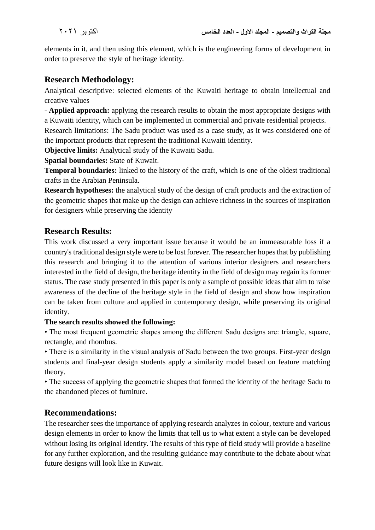elements in it, and then using this element, which is the engineering forms of development in order to preserve the style of heritage identity.

#### **Research Methodology:**

Analytical descriptive: selected elements of the Kuwaiti heritage to obtain intellectual and creative values

**- Applied approach:** applying the research results to obtain the most appropriate designs with a Kuwaiti identity, which can be implemented in commercial and private residential projects.

Research limitations: The Sadu product was used as a case study, as it was considered one of the important products that represent the traditional Kuwaiti identity.

**Objective limits:** Analytical study of the Kuwaiti Sadu.

**Spatial boundaries:** State of Kuwait.

**Temporal boundaries:** linked to the history of the craft, which is one of the oldest traditional crafts in the Arabian Peninsula.

**Research hypotheses:** the analytical study of the design of craft products and the extraction of the geometric shapes that make up the design can achieve richness in the sources of inspiration for designers while preserving the identity

#### **Research Results:**

This work discussed a very important issue because it would be an immeasurable loss if a country's traditional design style were to be lost forever. The researcher hopes that by publishing this research and bringing it to the attention of various interior designers and researchers interested in the field of design, the heritage identity in the field of design may regain its former status. The case study presented in this paper is only a sample of possible ideas that aim to raise awareness of the decline of the heritage style in the field of design and show how inspiration can be taken from culture and applied in contemporary design, while preserving its original identity.

#### **The search results showed the following:**

• The most frequent geometric shapes among the different Sadu designs are: triangle, square, rectangle, and rhombus.

• There is a similarity in the visual analysis of Sadu between the two groups. First-year design students and final-year design students apply a similarity model based on feature matching theory.

• The success of applying the geometric shapes that formed the identity of the heritage Sadu to the abandoned pieces of furniture.

### **Recommendations:**

The researcher sees the importance of applying research analyzes in colour, texture and various design elements in order to know the limits that tell us to what extent a style can be developed without losing its original identity. The results of this type of field study will provide a baseline for any further exploration, and the resulting guidance may contribute to the debate about what future designs will look like in Kuwait.